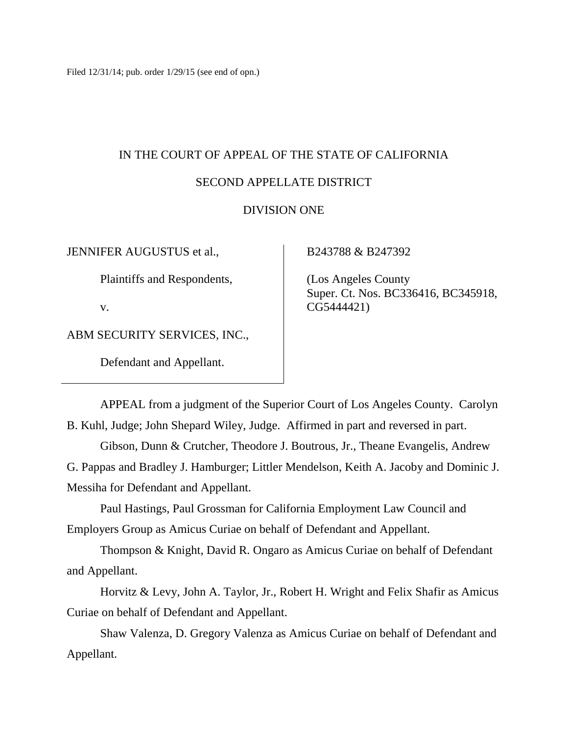Filed 12/31/14; pub. order 1/29/15 (see end of opn.)

# IN THE COURT OF APPEAL OF THE STATE OF CALIFORNIA

# SECOND APPELLATE DISTRICT

# DIVISION ONE

JENNIFER AUGUSTUS et al.,

Plaintiffs and Respondents,

v.

ABM SECURITY SERVICES, INC.,

Defendant and Appellant.

B243788 & B247392

 (Los Angeles County Super. Ct. Nos. BC336416, BC345918, CG5444421)

APPEAL from a judgment of the Superior Court of Los Angeles County. Carolyn B. Kuhl, Judge; John Shepard Wiley, Judge. Affirmed in part and reversed in part. Gibson, Dunn & Crutcher, Theodore J. Boutrous, Jr., Theane Evangelis, Andrew

G. Pappas and Bradley J. Hamburger; Littler Mendelson, Keith A. Jacoby and Dominic J. Messiha for Defendant and Appellant.

Paul Hastings, Paul Grossman for California Employment Law Council and Employers Group as Amicus Curiae on behalf of Defendant and Appellant.

Thompson & Knight, David R. Ongaro as Amicus Curiae on behalf of Defendant and Appellant.

Horvitz & Levy, John A. Taylor, Jr., Robert H. Wright and Felix Shafir as Amicus Curiae on behalf of Defendant and Appellant.

Shaw Valenza, D. Gregory Valenza as Amicus Curiae on behalf of Defendant and Appellant.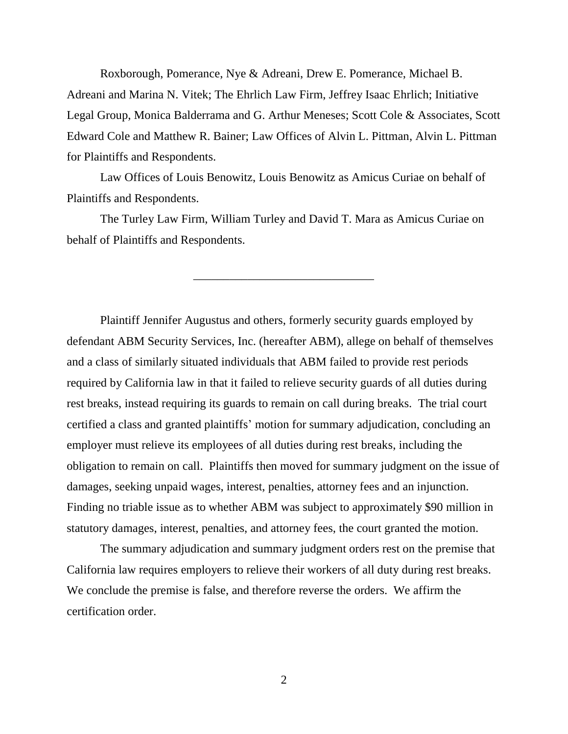Roxborough, Pomerance, Nye & Adreani, Drew E. Pomerance, Michael B. Adreani and Marina N. Vitek; The Ehrlich Law Firm, Jeffrey Isaac Ehrlich; Initiative Legal Group, Monica Balderrama and G. Arthur Meneses; Scott Cole & Associates, Scott Edward Cole and Matthew R. Bainer; Law Offices of Alvin L. Pittman, Alvin L. Pittman for Plaintiffs and Respondents.

Law Offices of Louis Benowitz, Louis Benowitz as Amicus Curiae on behalf of Plaintiffs and Respondents.

The Turley Law Firm, William Turley and David T. Mara as Amicus Curiae on behalf of Plaintiffs and Respondents.

\_\_\_\_\_\_\_\_\_\_\_\_\_\_\_\_\_\_\_\_\_\_\_\_\_\_\_\_\_\_

Plaintiff Jennifer Augustus and others, formerly security guards employed by defendant ABM Security Services, Inc. (hereafter ABM), allege on behalf of themselves and a class of similarly situated individuals that ABM failed to provide rest periods required by California law in that it failed to relieve security guards of all duties during rest breaks, instead requiring its guards to remain on call during breaks. The trial court certified a class and granted plaintiffs' motion for summary adjudication, concluding an employer must relieve its employees of all duties during rest breaks, including the obligation to remain on call. Plaintiffs then moved for summary judgment on the issue of damages, seeking unpaid wages, interest, penalties, attorney fees and an injunction. Finding no triable issue as to whether ABM was subject to approximately \$90 million in statutory damages, interest, penalties, and attorney fees, the court granted the motion.

The summary adjudication and summary judgment orders rest on the premise that California law requires employers to relieve their workers of all duty during rest breaks. We conclude the premise is false, and therefore reverse the orders. We affirm the certification order.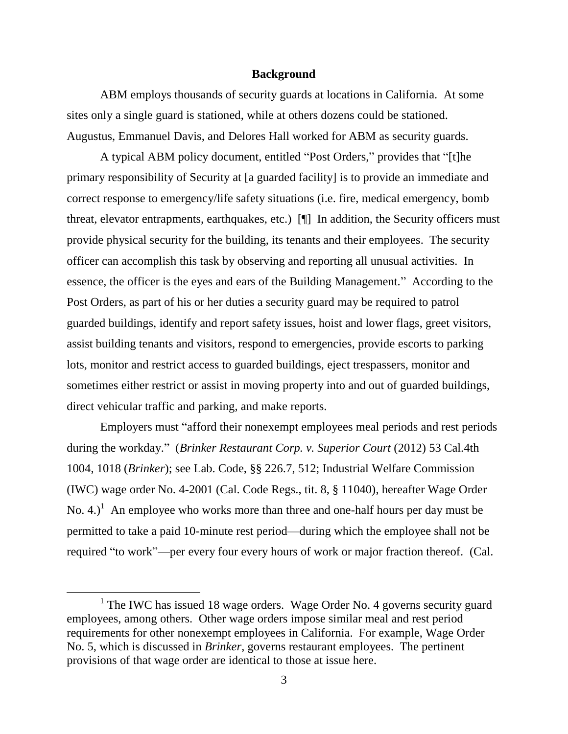#### **Background**

ABM employs thousands of security guards at locations in California. At some sites only a single guard is stationed, while at others dozens could be stationed. Augustus, Emmanuel Davis, and Delores Hall worked for ABM as security guards.

A typical ABM policy document, entitled "Post Orders," provides that "[t]he primary responsibility of Security at [a guarded facility] is to provide an immediate and correct response to emergency/life safety situations (i.e. fire, medical emergency, bomb threat, elevator entrapments, earthquakes, etc.) [¶] In addition, the Security officers must provide physical security for the building, its tenants and their employees. The security officer can accomplish this task by observing and reporting all unusual activities. In essence, the officer is the eyes and ears of the Building Management." According to the Post Orders, as part of his or her duties a security guard may be required to patrol guarded buildings, identify and report safety issues, hoist and lower flags, greet visitors, assist building tenants and visitors, respond to emergencies, provide escorts to parking lots, monitor and restrict access to guarded buildings, eject trespassers, monitor and sometimes either restrict or assist in moving property into and out of guarded buildings, direct vehicular traffic and parking, and make reports.

Employers must "afford their nonexempt employees meal periods and rest periods during the workday." (*Brinker Restaurant Corp. v. Superior Court* (2012) 53 Cal.4th 1004, 1018 (*Brinker*); see Lab. Code, §§ 226.7, 512; Industrial Welfare Commission (IWC) wage order No. 4-2001 (Cal. Code Regs., tit. 8, § 11040), hereafter Wage Order No. 4.)<sup>1</sup> An employee who works more than three and one-half hours per day must be permitted to take a paid 10-minute rest period—during which the employee shall not be required "to work"—per every four every hours of work or major fraction thereof. (Cal.

<sup>&</sup>lt;sup>1</sup> The IWC has issued 18 wage orders. Wage Order No. 4 governs security guard employees, among others. Other wage orders impose similar meal and rest period requirements for other nonexempt employees in California. For example, Wage Order No. 5, which is discussed in *Brinker*, governs restaurant employees. The pertinent provisions of that wage order are identical to those at issue here.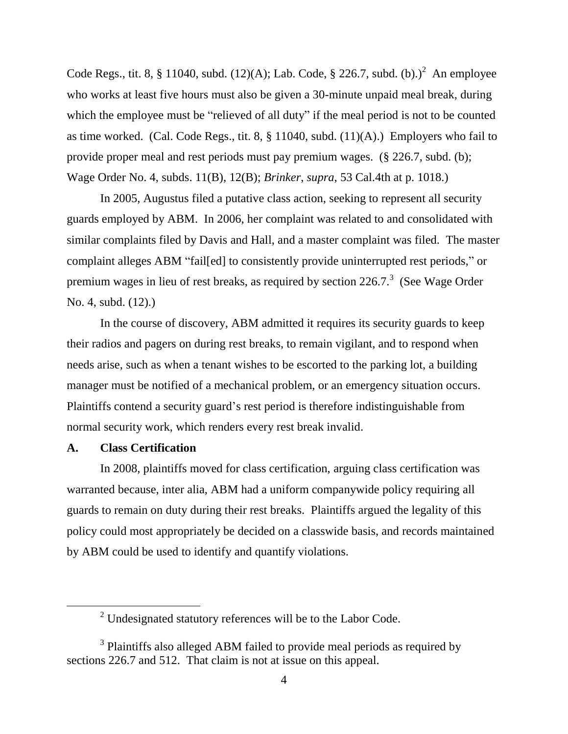Code Regs., tit. 8, § 11040, subd.  $(12)(A)$ ; Lab. Code, § 226.7, subd.  $(b)$ .)<sup>2</sup> An employee who works at least five hours must also be given a 30-minute unpaid meal break, during which the employee must be "relieved of all duty" if the meal period is not to be counted as time worked. (Cal. Code Regs., tit. 8, § 11040, subd. (11)(A).) Employers who fail to provide proper meal and rest periods must pay premium wages. (§ 226.7, subd. (b); Wage Order No. 4, subds. 11(B), 12(B); *Brinker*, *supra*, 53 Cal.4th at p. 1018.)

In 2005, Augustus filed a putative class action, seeking to represent all security guards employed by ABM. In 2006, her complaint was related to and consolidated with similar complaints filed by Davis and Hall, and a master complaint was filed. The master complaint alleges ABM "fail[ed] to consistently provide uninterrupted rest periods," or premium wages in lieu of rest breaks, as required by section  $226.7$ <sup>3</sup> (See Wage Order No. 4, subd. (12).)

In the course of discovery, ABM admitted it requires its security guards to keep their radios and pagers on during rest breaks, to remain vigilant, and to respond when needs arise, such as when a tenant wishes to be escorted to the parking lot, a building manager must be notified of a mechanical problem, or an emergency situation occurs. Plaintiffs contend a security guard's rest period is therefore indistinguishable from normal security work, which renders every rest break invalid.

## **A. Class Certification**

In 2008, plaintiffs moved for class certification, arguing class certification was warranted because, inter alia, ABM had a uniform companywide policy requiring all guards to remain on duty during their rest breaks. Plaintiffs argued the legality of this policy could most appropriately be decided on a classwide basis, and records maintained by ABM could be used to identify and quantify violations.

<sup>&</sup>lt;sup>2</sup> Undesignated statutory references will be to the Labor Code.

 $3$  Plaintiffs also alleged ABM failed to provide meal periods as required by sections 226.7 and 512. That claim is not at issue on this appeal.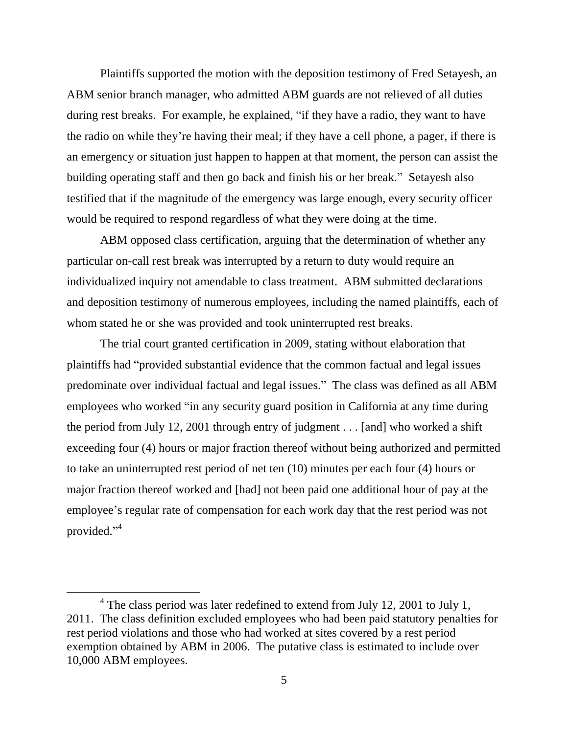Plaintiffs supported the motion with the deposition testimony of Fred Setayesh, an ABM senior branch manager, who admitted ABM guards are not relieved of all duties during rest breaks. For example, he explained, "if they have a radio, they want to have the radio on while they're having their meal; if they have a cell phone, a pager, if there is an emergency or situation just happen to happen at that moment, the person can assist the building operating staff and then go back and finish his or her break." Setayesh also testified that if the magnitude of the emergency was large enough, every security officer would be required to respond regardless of what they were doing at the time.

ABM opposed class certification, arguing that the determination of whether any particular on-call rest break was interrupted by a return to duty would require an individualized inquiry not amendable to class treatment. ABM submitted declarations and deposition testimony of numerous employees, including the named plaintiffs, each of whom stated he or she was provided and took uninterrupted rest breaks.

The trial court granted certification in 2009, stating without elaboration that plaintiffs had "provided substantial evidence that the common factual and legal issues predominate over individual factual and legal issues." The class was defined as all ABM employees who worked "in any security guard position in California at any time during the period from July 12, 2001 through entry of judgment . . . [and] who worked a shift exceeding four (4) hours or major fraction thereof without being authorized and permitted to take an uninterrupted rest period of net ten (10) minutes per each four (4) hours or major fraction thereof worked and [had] not been paid one additional hour of pay at the employee's regular rate of compensation for each work day that the rest period was not provided."<sup>4</sup>

 $4$  The class period was later redefined to extend from July 12, 2001 to July 1, 2011. The class definition excluded employees who had been paid statutory penalties for rest period violations and those who had worked at sites covered by a rest period exemption obtained by ABM in 2006. The putative class is estimated to include over 10,000 ABM employees.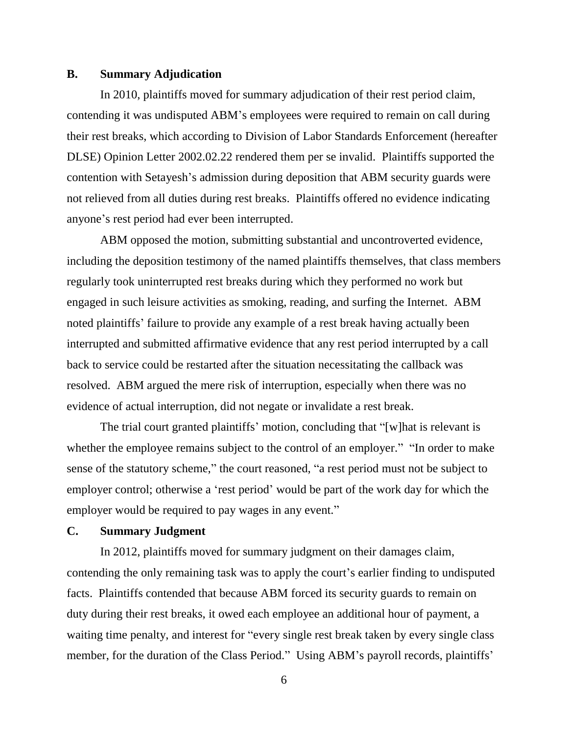## **B. Summary Adjudication**

In 2010, plaintiffs moved for summary adjudication of their rest period claim, contending it was undisputed ABM's employees were required to remain on call during their rest breaks, which according to Division of Labor Standards Enforcement (hereafter DLSE) Opinion Letter 2002.02.22 rendered them per se invalid. Plaintiffs supported the contention with Setayesh's admission during deposition that ABM security guards were not relieved from all duties during rest breaks. Plaintiffs offered no evidence indicating anyone's rest period had ever been interrupted.

ABM opposed the motion, submitting substantial and uncontroverted evidence, including the deposition testimony of the named plaintiffs themselves, that class members regularly took uninterrupted rest breaks during which they performed no work but engaged in such leisure activities as smoking, reading, and surfing the Internet. ABM noted plaintiffs' failure to provide any example of a rest break having actually been interrupted and submitted affirmative evidence that any rest period interrupted by a call back to service could be restarted after the situation necessitating the callback was resolved. ABM argued the mere risk of interruption, especially when there was no evidence of actual interruption, did not negate or invalidate a rest break.

The trial court granted plaintiffs' motion, concluding that "[w]hat is relevant is whether the employee remains subject to the control of an employer." "In order to make sense of the statutory scheme," the court reasoned, "a rest period must not be subject to employer control; otherwise a 'rest period' would be part of the work day for which the employer would be required to pay wages in any event."

# **C. Summary Judgment**

In 2012, plaintiffs moved for summary judgment on their damages claim, contending the only remaining task was to apply the court's earlier finding to undisputed facts. Plaintiffs contended that because ABM forced its security guards to remain on duty during their rest breaks, it owed each employee an additional hour of payment, a waiting time penalty, and interest for "every single rest break taken by every single class member, for the duration of the Class Period." Using ABM's payroll records, plaintiffs'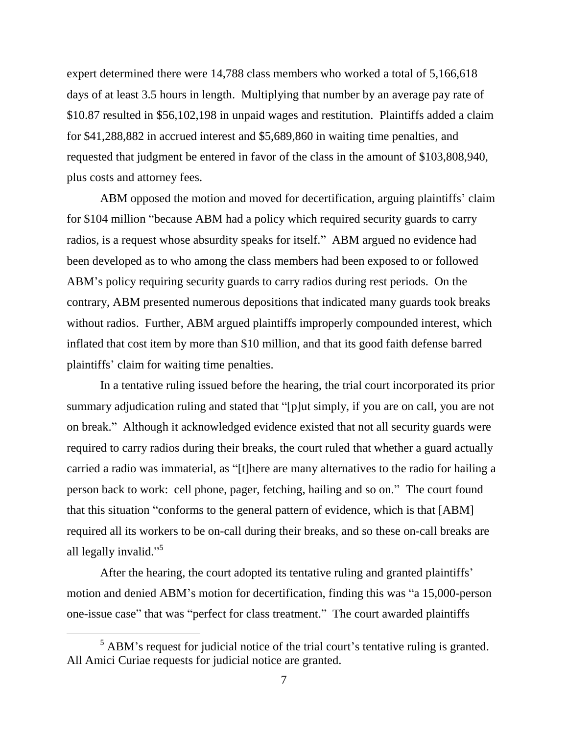expert determined there were 14,788 class members who worked a total of 5,166,618 days of at least 3.5 hours in length. Multiplying that number by an average pay rate of \$10.87 resulted in \$56,102,198 in unpaid wages and restitution. Plaintiffs added a claim for \$41,288,882 in accrued interest and \$5,689,860 in waiting time penalties, and requested that judgment be entered in favor of the class in the amount of \$103,808,940, plus costs and attorney fees.

ABM opposed the motion and moved for decertification, arguing plaintiffs' claim for \$104 million "because ABM had a policy which required security guards to carry radios, is a request whose absurdity speaks for itself." ABM argued no evidence had been developed as to who among the class members had been exposed to or followed ABM's policy requiring security guards to carry radios during rest periods. On the contrary, ABM presented numerous depositions that indicated many guards took breaks without radios. Further, ABM argued plaintiffs improperly compounded interest, which inflated that cost item by more than \$10 million, and that its good faith defense barred plaintiffs' claim for waiting time penalties.

In a tentative ruling issued before the hearing, the trial court incorporated its prior summary adjudication ruling and stated that "[p]ut simply, if you are on call, you are not on break." Although it acknowledged evidence existed that not all security guards were required to carry radios during their breaks, the court ruled that whether a guard actually carried a radio was immaterial, as "[t]here are many alternatives to the radio for hailing a person back to work: cell phone, pager, fetching, hailing and so on." The court found that this situation "conforms to the general pattern of evidence, which is that [ABM] required all its workers to be on-call during their breaks, and so these on-call breaks are all legally invalid."<sup>5</sup>

After the hearing, the court adopted its tentative ruling and granted plaintiffs' motion and denied ABM's motion for decertification, finding this was "a 15,000-person one-issue case" that was "perfect for class treatment." The court awarded plaintiffs

 $\overline{a}$ 

 $<sup>5</sup>$  ABM's request for judicial notice of the trial court's tentative ruling is granted.</sup> All Amici Curiae requests for judicial notice are granted.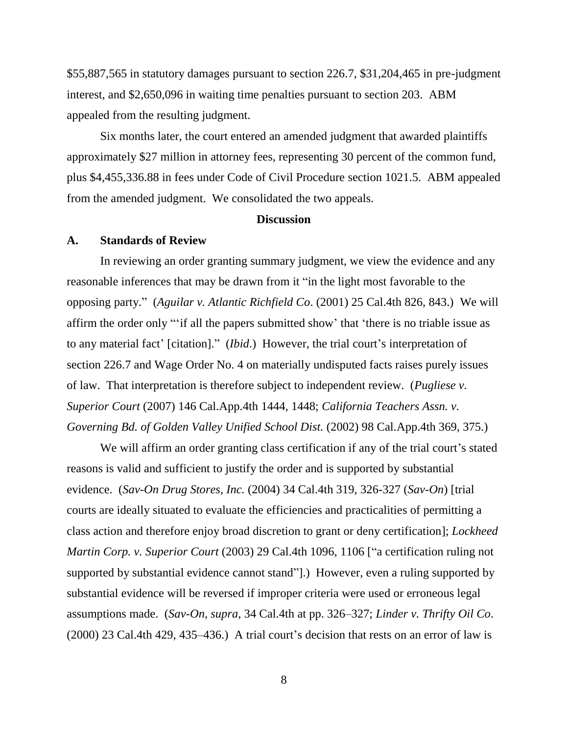\$55,887,565 in statutory damages pursuant to section 226.7, \$31,204,465 in pre-judgment interest, and \$2,650,096 in waiting time penalties pursuant to section 203. ABM appealed from the resulting judgment.

Six months later, the court entered an amended judgment that awarded plaintiffs approximately \$27 million in attorney fees, representing 30 percent of the common fund, plus \$4,455,336.88 in fees under Code of Civil Procedure section 1021.5. ABM appealed from the amended judgment. We consolidated the two appeals.

#### **Discussion**

#### **A. Standards of Review**

In reviewing an order granting summary judgment, we view the evidence and any reasonable inferences that may be drawn from it "in the light most favorable to the opposing party." (*Aguilar v. Atlantic Richfield Co*. (2001) 25 Cal.4th 826, 843.) We will affirm the order only "'if all the papers submitted show' that 'there is no triable issue as to any material fact' [citation]." (*Ibid*.) However, the trial court's interpretation of section 226.7 and Wage Order No. 4 on materially undisputed facts raises purely issues of law. That interpretation is therefore subject to independent review. (*Pugliese v. Superior Court* (2007) 146 Cal.App.4th 1444, 1448; *California Teachers Assn. v. Governing Bd. of Golden Valley Unified School Dist.* (2002) 98 Cal.App.4th 369, 375.)

We will affirm an order granting class certification if any of the trial court's stated reasons is valid and sufficient to justify the order and is supported by substantial evidence. (*Sav-On Drug Stores, Inc.* (2004) 34 Cal.4th 319, 326-327 (*Sav-On*) [trial courts are ideally situated to evaluate the efficiencies and practicalities of permitting a class action and therefore enjoy broad discretion to grant or deny certification]; *Lockheed Martin Corp. v. Superior Court* (2003) 29 Cal.4th 1096, 1106 ["a certification ruling not supported by substantial evidence cannot stand"].) However, even a ruling supported by substantial evidence will be reversed if improper criteria were used or erroneous legal assumptions made. (*Sav-On*, *supra*, 34 Cal.4th at pp. 326–327; *Linder v. Thrifty Oil Co*. (2000) 23 Cal.4th 429, 435–436.) A trial court's decision that rests on an error of law is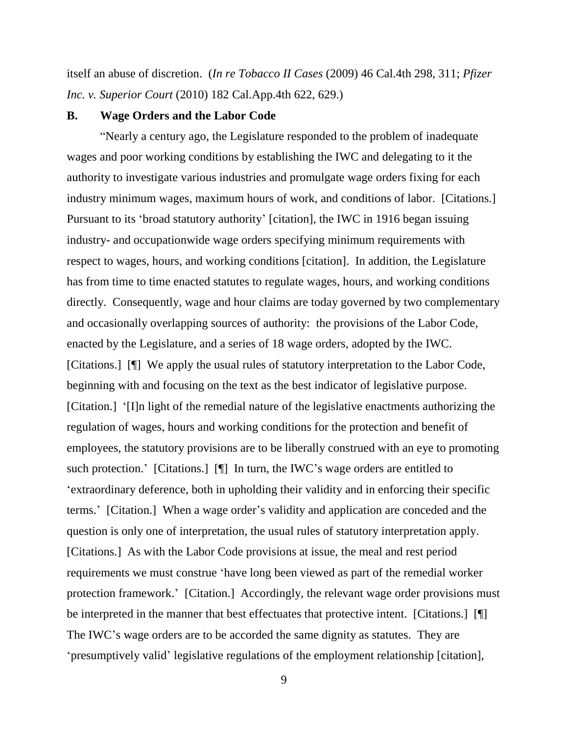itself an abuse of discretion. (*In re Tobacco II Cases* (2009) 46 Cal.4th 298, 311; *Pfizer Inc. v. Superior Court* (2010) 182 Cal.App.4th 622, 629.)

#### **B. Wage Orders and the Labor Code**

"Nearly a century ago, the Legislature responded to the problem of inadequate wages and poor working conditions by establishing the IWC and delegating to it the authority to investigate various industries and promulgate wage orders fixing for each industry minimum wages, maximum hours of work, and conditions of labor. [Citations.] Pursuant to its 'broad statutory authority' [citation], the IWC in 1916 began issuing industry- and occupationwide wage orders specifying minimum requirements with respect to wages, hours, and working conditions [citation]. In addition, the Legislature has from time to time enacted statutes to regulate wages, hours, and working conditions directly. Consequently, wage and hour claims are today governed by two complementary and occasionally overlapping sources of authority: the provisions of the Labor Code, enacted by the Legislature, and a series of 18 wage orders, adopted by the IWC. [Citations.] [¶] We apply the usual rules of statutory interpretation to the Labor Code, beginning with and focusing on the text as the best indicator of legislative purpose. [Citation.] '[I]n light of the remedial nature of the legislative enactments authorizing the regulation of wages, hours and working conditions for the protection and benefit of employees, the statutory provisions are to be liberally construed with an eye to promoting such protection.' [Citations.] [¶] In turn, the IWC's wage orders are entitled to 'extraordinary deference, both in upholding their validity and in enforcing their specific terms.' [Citation.] When a wage order's validity and application are conceded and the question is only one of interpretation, the usual rules of statutory interpretation apply. [Citations.] As with the Labor Code provisions at issue, the meal and rest period requirements we must construe 'have long been viewed as part of the remedial worker protection framework.' [Citation.] Accordingly, the relevant wage order provisions must be interpreted in the manner that best effectuates that protective intent. [Citations.] [¶] The IWC's wage orders are to be accorded the same dignity as statutes. They are 'presumptively valid' legislative regulations of the employment relationship [citation],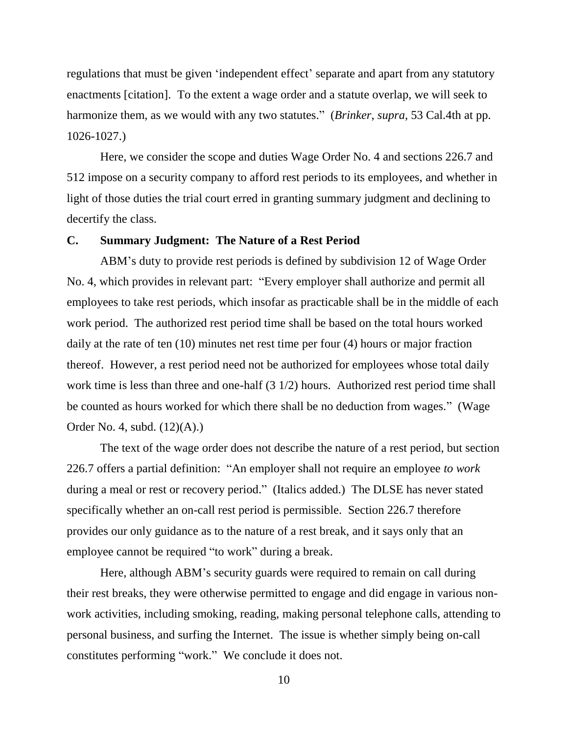regulations that must be given 'independent effect' separate and apart from any statutory enactments [citation]. To the extent a wage order and a statute overlap, we will seek to harmonize them, as we would with any two statutes." (*Brinker*, *supra*, 53 Cal.4th at pp. 1026-1027.)

Here, we consider the scope and duties Wage Order No. 4 and sections 226.7 and 512 impose on a security company to afford rest periods to its employees, and whether in light of those duties the trial court erred in granting summary judgment and declining to decertify the class.

# **C. Summary Judgment: The Nature of a Rest Period**

ABM's duty to provide rest periods is defined by subdivision 12 of Wage Order No. 4, which provides in relevant part: "Every employer shall authorize and permit all employees to take rest periods, which insofar as practicable shall be in the middle of each work period. The authorized rest period time shall be based on the total hours worked daily at the rate of ten (10) minutes net rest time per four (4) hours or major fraction thereof. However, a rest period need not be authorized for employees whose total daily work time is less than three and one-half (3 1/2) hours. Authorized rest period time shall be counted as hours worked for which there shall be no deduction from wages." (Wage Order No. 4, subd. (12)(A).)

The text of the wage order does not describe the nature of a rest period, but section 226.7 offers a partial definition: "An employer shall not require an employee *to work* during a meal or rest or recovery period." (Italics added.) The DLSE has never stated specifically whether an on-call rest period is permissible. Section 226.7 therefore provides our only guidance as to the nature of a rest break, and it says only that an employee cannot be required "to work" during a break.

Here, although ABM's security guards were required to remain on call during their rest breaks, they were otherwise permitted to engage and did engage in various nonwork activities, including smoking, reading, making personal telephone calls, attending to personal business, and surfing the Internet. The issue is whether simply being on-call constitutes performing "work." We conclude it does not.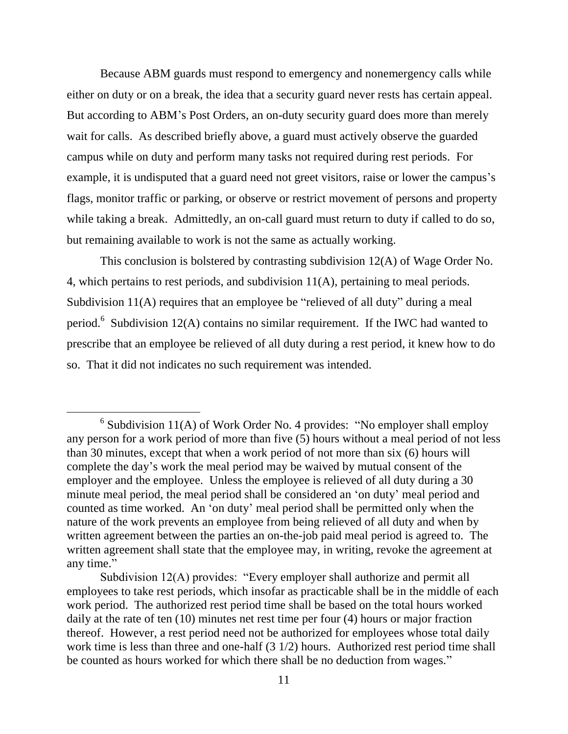Because ABM guards must respond to emergency and nonemergency calls while either on duty or on a break, the idea that a security guard never rests has certain appeal. But according to ABM's Post Orders, an on-duty security guard does more than merely wait for calls. As described briefly above, a guard must actively observe the guarded campus while on duty and perform many tasks not required during rest periods. For example, it is undisputed that a guard need not greet visitors, raise or lower the campus's flags, monitor traffic or parking, or observe or restrict movement of persons and property while taking a break. Admittedly, an on-call guard must return to duty if called to do so, but remaining available to work is not the same as actually working.

This conclusion is bolstered by contrasting subdivision 12(A) of Wage Order No. 4, which pertains to rest periods, and subdivision 11(A), pertaining to meal periods. Subdivision 11(A) requires that an employee be "relieved of all duty" during a meal period.<sup>6</sup> Subdivision 12(A) contains no similar requirement. If the IWC had wanted to prescribe that an employee be relieved of all duty during a rest period, it knew how to do so. That it did not indicates no such requirement was intended.

 $\overline{a}$ 

<sup>&</sup>lt;sup>6</sup> Subdivision 11(A) of Work Order No. 4 provides: "No employer shall employ any person for a work period of more than five (5) hours without a meal period of not less than 30 minutes, except that when a work period of not more than six (6) hours will complete the day's work the meal period may be waived by mutual consent of the employer and the employee. Unless the employee is relieved of all duty during a 30 minute meal period, the meal period shall be considered an 'on duty' meal period and counted as time worked. An 'on duty' meal period shall be permitted only when the nature of the work prevents an employee from being relieved of all duty and when by written agreement between the parties an on-the-job paid meal period is agreed to. The written agreement shall state that the employee may, in writing, revoke the agreement at any time."

Subdivision 12(A) provides: "Every employer shall authorize and permit all employees to take rest periods, which insofar as practicable shall be in the middle of each work period. The authorized rest period time shall be based on the total hours worked daily at the rate of ten (10) minutes net rest time per four (4) hours or major fraction thereof. However, a rest period need not be authorized for employees whose total daily work time is less than three and one-half (3 1/2) hours. Authorized rest period time shall be counted as hours worked for which there shall be no deduction from wages."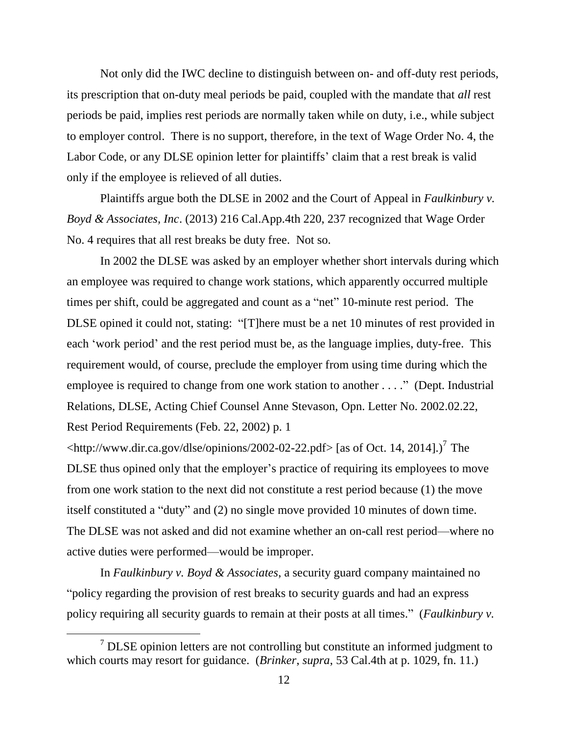Not only did the IWC decline to distinguish between on- and off-duty rest periods, its prescription that on-duty meal periods be paid, coupled with the mandate that *all* rest periods be paid, implies rest periods are normally taken while on duty, i.e., while subject to employer control. There is no support, therefore, in the text of Wage Order No. 4, the Labor Code, or any DLSE opinion letter for plaintiffs' claim that a rest break is valid only if the employee is relieved of all duties.

Plaintiffs argue both the DLSE in 2002 and the Court of Appeal in *Faulkinbury v. Boyd & Associates, Inc*. (2013) 216 Cal.App.4th 220, 237 recognized that Wage Order No. 4 requires that all rest breaks be duty free. Not so.

In 2002 the DLSE was asked by an employer whether short intervals during which an employee was required to change work stations, which apparently occurred multiple times per shift, could be aggregated and count as a "net" 10-minute rest period. The DLSE opined it could not, stating: "[T]here must be a net 10 minutes of rest provided in each 'work period' and the rest period must be, as the language implies, duty-free. This requirement would, of course, preclude the employer from using time during which the employee is required to change from one work station to another . . . ." (Dept. Industrial Relations, DLSE, Acting Chief Counsel Anne Stevason, Opn. Letter No. 2002.02.22, Rest Period Requirements (Feb. 22, 2002) p. 1

<http://www.dir.ca.gov/dlse/opinions/2002-02-22.pdf> [as of Oct. 14, 2014].)<sup>7</sup>The DLSE thus opined only that the employer's practice of requiring its employees to move from one work station to the next did not constitute a rest period because (1) the move itself constituted a "duty" and (2) no single move provided 10 minutes of down time. The DLSE was not asked and did not examine whether an on-call rest period—where no active duties were performed—would be improper.

In *Faulkinbury v. Boyd & Associates*, a security guard company maintained no "policy regarding the provision of rest breaks to security guards and had an express policy requiring all security guards to remain at their posts at all times." (*Faulkinbury v.* 

 $\overline{a}$ 

 $7$  DLSE opinion letters are not controlling but constitute an informed judgment to which courts may resort for guidance. (*Brinker*, *supra*, 53 Cal.4th at p. 1029, fn. 11.)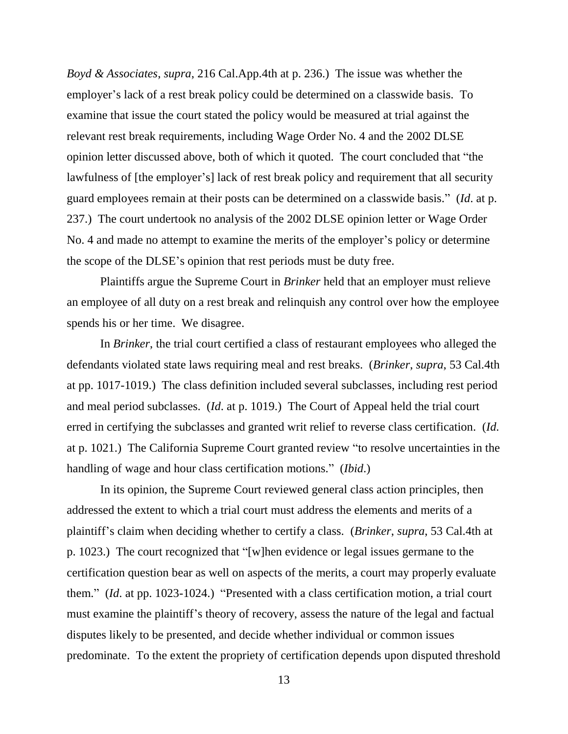*Boyd & Associates*, *supra*, 216 Cal.App.4th at p. 236.) The issue was whether the employer's lack of a rest break policy could be determined on a classwide basis. To examine that issue the court stated the policy would be measured at trial against the relevant rest break requirements, including Wage Order No. 4 and the 2002 DLSE opinion letter discussed above, both of which it quoted. The court concluded that "the lawfulness of [the employer's] lack of rest break policy and requirement that all security guard employees remain at their posts can be determined on a classwide basis." (*Id*. at p. 237.) The court undertook no analysis of the 2002 DLSE opinion letter or Wage Order No. 4 and made no attempt to examine the merits of the employer's policy or determine the scope of the DLSE's opinion that rest periods must be duty free.

Plaintiffs argue the Supreme Court in *Brinker* held that an employer must relieve an employee of all duty on a rest break and relinquish any control over how the employee spends his or her time. We disagree.

In *Brinker*, the trial court certified a class of restaurant employees who alleged the defendants violated state laws requiring meal and rest breaks. (*Brinker*, *supra*, 53 Cal.4th at pp. 1017-1019.) The class definition included several subclasses, including rest period and meal period subclasses. (*Id*. at p. 1019.) The Court of Appeal held the trial court erred in certifying the subclasses and granted writ relief to reverse class certification. (*Id.* at p. 1021.) The California Supreme Court granted review "to resolve uncertainties in the handling of wage and hour class certification motions." (*Ibid*.)

In its opinion, the Supreme Court reviewed general class action principles, then addressed the extent to which a trial court must address the elements and merits of a plaintiff's claim when deciding whether to certify a class. (*Brinker*, *supra*, 53 Cal.4th at p. 1023.) The court recognized that "[w]hen evidence or legal issues germane to the certification question bear as well on aspects of the merits, a court may properly evaluate them." (*Id*. at pp. 1023-1024.) "Presented with a class certification motion, a trial court must examine the plaintiff's theory of recovery, assess the nature of the legal and factual disputes likely to be presented, and decide whether individual or common issues predominate. To the extent the propriety of certification depends upon disputed threshold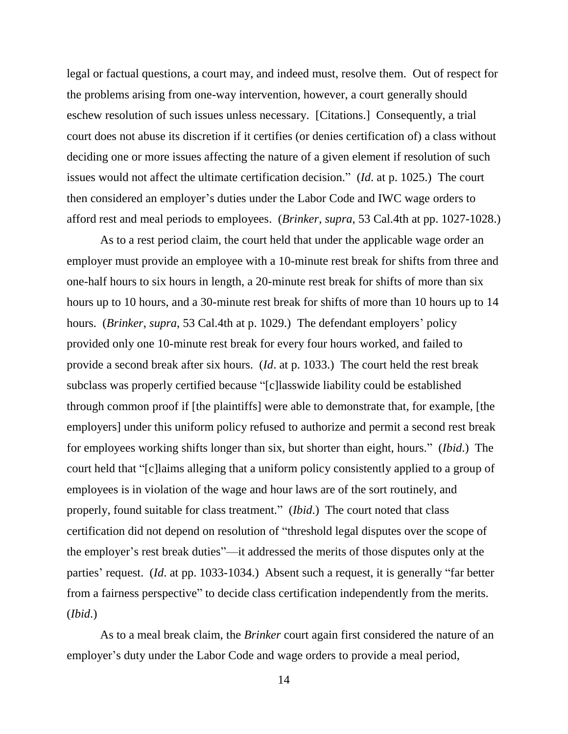legal or factual questions, a court may, and indeed must, resolve them. Out of respect for the problems arising from one-way intervention, however, a court generally should eschew resolution of such issues unless necessary. [Citations.] Consequently, a trial court does not abuse its discretion if it certifies (or denies certification of) a class without deciding one or more issues affecting the nature of a given element if resolution of such issues would not affect the ultimate certification decision." (*Id*. at p. 1025.) The court then considered an employer's duties under the Labor Code and IWC wage orders to afford rest and meal periods to employees. (*Brinker*, *supra*, 53 Cal.4th at pp. 1027-1028.)

As to a rest period claim, the court held that under the applicable wage order an employer must provide an employee with a 10-minute rest break for shifts from three and one-half hours to six hours in length, a 20-minute rest break for shifts of more than six hours up to 10 hours, and a 30-minute rest break for shifts of more than 10 hours up to 14 hours. (*Brinker*, *supra*, 53 Cal.4th at p. 1029.) The defendant employers' policy provided only one 10-minute rest break for every four hours worked, and failed to provide a second break after six hours. (*Id*. at p. 1033.) The court held the rest break subclass was properly certified because "[c]lasswide liability could be established through common proof if [the plaintiffs] were able to demonstrate that, for example, [the employers] under this uniform policy refused to authorize and permit a second rest break for employees working shifts longer than six, but shorter than eight, hours." (*Ibid*.) The court held that "[c]laims alleging that a uniform policy consistently applied to a group of employees is in violation of the wage and hour laws are of the sort routinely, and properly, found suitable for class treatment." (*Ibid*.) The court noted that class certification did not depend on resolution of "threshold legal disputes over the scope of the employer's rest break duties"—it addressed the merits of those disputes only at the parties' request. (*Id*. at pp. 1033-1034.) Absent such a request, it is generally "far better from a fairness perspective" to decide class certification independently from the merits. (*Ibid*.)

As to a meal break claim, the *Brinker* court again first considered the nature of an employer's duty under the Labor Code and wage orders to provide a meal period,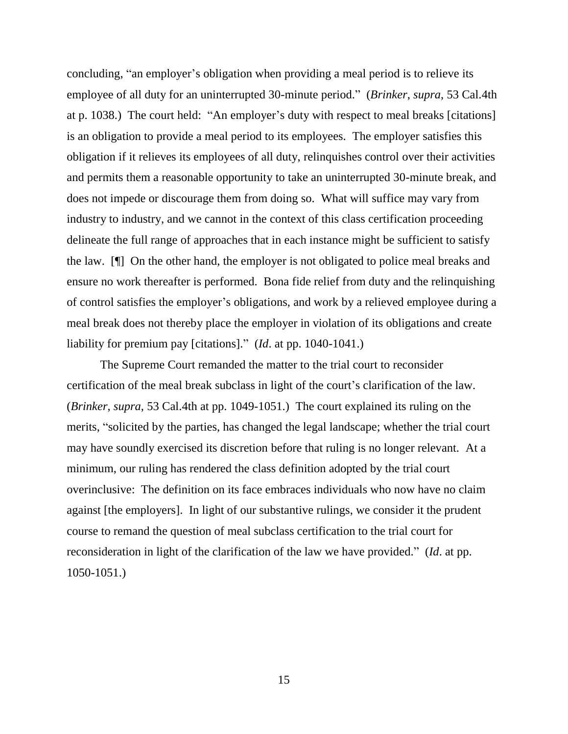concluding, "an employer's obligation when providing a meal period is to relieve its employee of all duty for an uninterrupted 30-minute period." (*Brinker*, *supra*, 53 Cal.4th at p. 1038.) The court held: "An employer's duty with respect to meal breaks [citations] is an obligation to provide a meal period to its employees. The employer satisfies this obligation if it relieves its employees of all duty, relinquishes control over their activities and permits them a reasonable opportunity to take an uninterrupted 30-minute break, and does not impede or discourage them from doing so. What will suffice may vary from industry to industry, and we cannot in the context of this class certification proceeding delineate the full range of approaches that in each instance might be sufficient to satisfy the law. [¶] On the other hand, the employer is not obligated to police meal breaks and ensure no work thereafter is performed. Bona fide relief from duty and the relinquishing of control satisfies the employer's obligations, and work by a relieved employee during a meal break does not thereby place the employer in violation of its obligations and create liability for premium pay [citations]." (*Id*. at pp. 1040-1041.)

The Supreme Court remanded the matter to the trial court to reconsider certification of the meal break subclass in light of the court's clarification of the law. (*Brinker*, *supra*, 53 Cal.4th at pp. 1049-1051.) The court explained its ruling on the merits, "solicited by the parties, has changed the legal landscape; whether the trial court may have soundly exercised its discretion before that ruling is no longer relevant. At a minimum, our ruling has rendered the class definition adopted by the trial court overinclusive: The definition on its face embraces individuals who now have no claim against [the employers]. In light of our substantive rulings, we consider it the prudent course to remand the question of meal subclass certification to the trial court for reconsideration in light of the clarification of the law we have provided." (*Id*. at pp. 1050-1051.)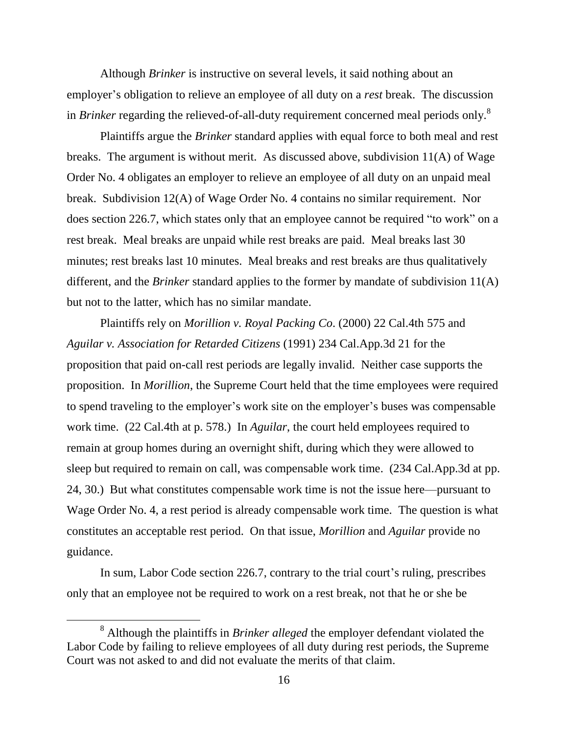Although *Brinker* is instructive on several levels, it said nothing about an employer's obligation to relieve an employee of all duty on a *rest* break. The discussion in *Brinker* regarding the relieved-of-all-duty requirement concerned meal periods only. 8

Plaintiffs argue the *Brinker* standard applies with equal force to both meal and rest breaks. The argument is without merit. As discussed above, subdivision 11(A) of Wage Order No. 4 obligates an employer to relieve an employee of all duty on an unpaid meal break. Subdivision 12(A) of Wage Order No. 4 contains no similar requirement. Nor does section 226.7, which states only that an employee cannot be required "to work" on a rest break. Meal breaks are unpaid while rest breaks are paid. Meal breaks last 30 minutes; rest breaks last 10 minutes. Meal breaks and rest breaks are thus qualitatively different, and the *Brinker* standard applies to the former by mandate of subdivision 11(A) but not to the latter, which has no similar mandate.

Plaintiffs rely on *Morillion v. Royal Packing Co*. (2000) 22 Cal.4th 575 and *Aguilar v. Association for Retarded Citizens* (1991) 234 Cal.App.3d 21 for the proposition that paid on-call rest periods are legally invalid. Neither case supports the proposition. In *Morillion*, the Supreme Court held that the time employees were required to spend traveling to the employer's work site on the employer's buses was compensable work time. (22 Cal.4th at p. 578.) In *Aguilar*, the court held employees required to remain at group homes during an overnight shift, during which they were allowed to sleep but required to remain on call, was compensable work time. (234 Cal.App.3d at pp. 24, 30.) But what constitutes compensable work time is not the issue here—pursuant to Wage Order No. 4, a rest period is already compensable work time. The question is what constitutes an acceptable rest period. On that issue, *Morillion* and *Aguilar* provide no guidance.

In sum, Labor Code section 226.7, contrary to the trial court's ruling, prescribes only that an employee not be required to work on a rest break, not that he or she be

<sup>8</sup> Although the plaintiffs in *Brinker alleged* the employer defendant violated the Labor Code by failing to relieve employees of all duty during rest periods, the Supreme Court was not asked to and did not evaluate the merits of that claim.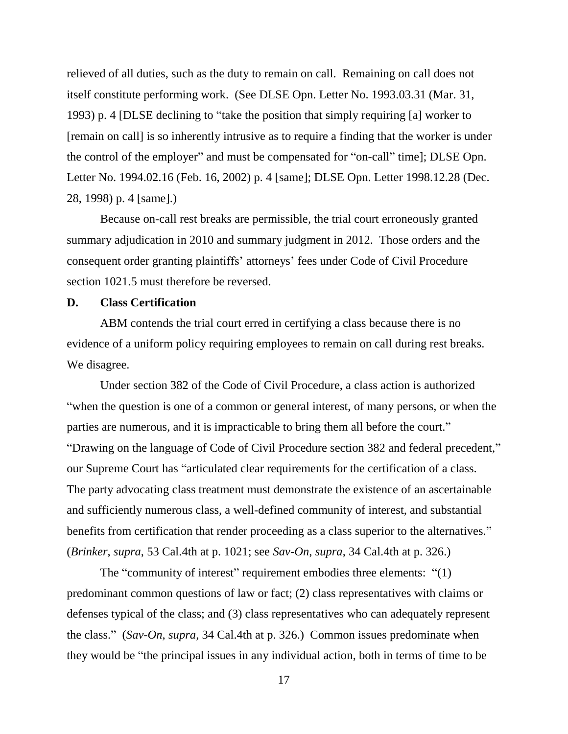relieved of all duties, such as the duty to remain on call. Remaining on call does not itself constitute performing work. (See DLSE Opn. Letter No. 1993.03.31 (Mar. 31, 1993) p. 4 [DLSE declining to "take the position that simply requiring [a] worker to [remain on call] is so inherently intrusive as to require a finding that the worker is under the control of the employer" and must be compensated for "on-call" time]; DLSE Opn. Letter No. 1994.02.16 (Feb. 16, 2002) p. 4 [same]; DLSE Opn. Letter 1998.12.28 (Dec. 28, 1998) p. 4 [same].)

Because on-call rest breaks are permissible, the trial court erroneously granted summary adjudication in 2010 and summary judgment in 2012. Those orders and the consequent order granting plaintiffs' attorneys' fees under Code of Civil Procedure section 1021.5 must therefore be reversed.

## **D. Class Certification**

ABM contends the trial court erred in certifying a class because there is no evidence of a uniform policy requiring employees to remain on call during rest breaks. We disagree.

Under section 382 of the Code of Civil Procedure, a class action is authorized "when the question is one of a common or general interest, of many persons, or when the parties are numerous, and it is impracticable to bring them all before the court." "Drawing on the language of Code of Civil Procedure section 382 and federal precedent," our Supreme Court has "articulated clear requirements for the certification of a class. The party advocating class treatment must demonstrate the existence of an ascertainable and sufficiently numerous class, a well-defined community of interest, and substantial benefits from certification that render proceeding as a class superior to the alternatives." (*Brinker*, *supra*, 53 Cal.4th at p. 1021; see *Sav-On*, *supra*, 34 Cal.4th at p. 326.)

The "community of interest" requirement embodies three elements: "(1) predominant common questions of law or fact; (2) class representatives with claims or defenses typical of the class; and (3) class representatives who can adequately represent the class." (*Sav-On*, *supra*, 34 Cal.4th at p. 326.) Common issues predominate when they would be "the principal issues in any individual action, both in terms of time to be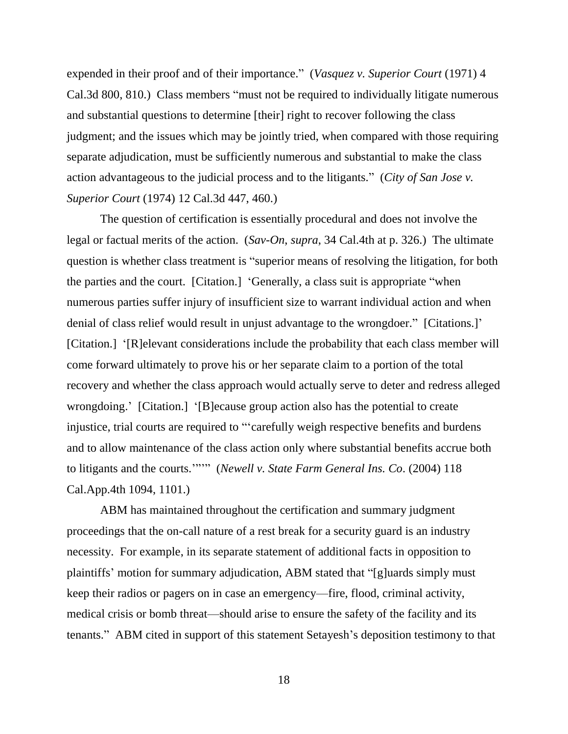expended in their proof and of their importance." (*Vasquez v. Superior Court* (1971) 4 Cal.3d 800, 810.) Class members "must not be required to individually litigate numerous and substantial questions to determine [their] right to recover following the class judgment; and the issues which may be jointly tried, when compared with those requiring separate adjudication, must be sufficiently numerous and substantial to make the class action advantageous to the judicial process and to the litigants." (*City of San Jose v. Superior Court* (1974) 12 Cal.3d 447, 460.)

The question of certification is essentially procedural and does not involve the legal or factual merits of the action. (*Sav-On*, *supra*, 34 Cal.4th at p. 326.) The ultimate question is whether class treatment is "superior means of resolving the litigation, for both the parties and the court. [Citation.] 'Generally, a class suit is appropriate "when numerous parties suffer injury of insufficient size to warrant individual action and when denial of class relief would result in unjust advantage to the wrongdoer." [Citations.]' [Citation.] '[R]elevant considerations include the probability that each class member will come forward ultimately to prove his or her separate claim to a portion of the total recovery and whether the class approach would actually serve to deter and redress alleged wrongdoing.' [Citation.] '[B]ecause group action also has the potential to create injustice, trial courts are required to "'carefully weigh respective benefits and burdens and to allow maintenance of the class action only where substantial benefits accrue both to litigants and the courts.'"'" (*Newell v. State Farm General Ins. Co*. (2004) 118 Cal.App.4th 1094, 1101.)

ABM has maintained throughout the certification and summary judgment proceedings that the on-call nature of a rest break for a security guard is an industry necessity. For example, in its separate statement of additional facts in opposition to plaintiffs' motion for summary adjudication, ABM stated that "[g]uards simply must keep their radios or pagers on in case an emergency—fire, flood, criminal activity, medical crisis or bomb threat—should arise to ensure the safety of the facility and its tenants." ABM cited in support of this statement Setayesh's deposition testimony to that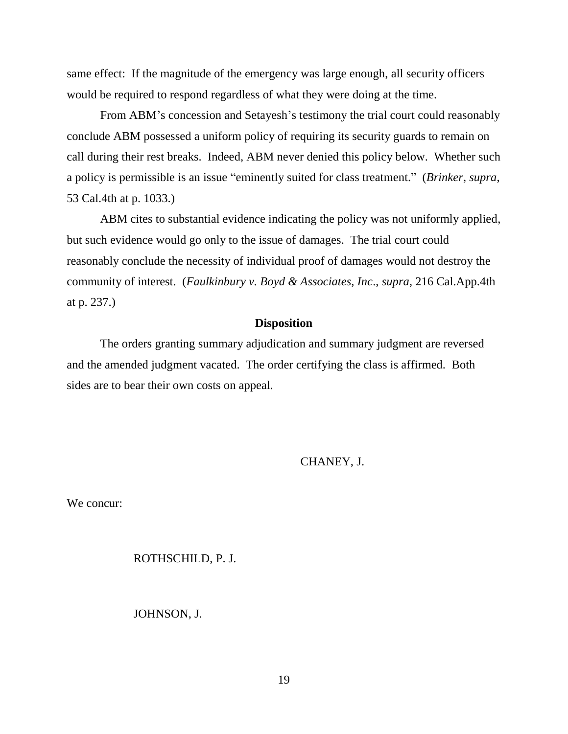same effect: If the magnitude of the emergency was large enough, all security officers would be required to respond regardless of what they were doing at the time.

From ABM's concession and Setayesh's testimony the trial court could reasonably conclude ABM possessed a uniform policy of requiring its security guards to remain on call during their rest breaks. Indeed, ABM never denied this policy below. Whether such a policy is permissible is an issue "eminently suited for class treatment." (*Brinker*, *supra*, 53 Cal.4th at p. 1033.)

ABM cites to substantial evidence indicating the policy was not uniformly applied, but such evidence would go only to the issue of damages. The trial court could reasonably conclude the necessity of individual proof of damages would not destroy the community of interest. (*Faulkinbury v. Boyd & Associates, Inc*., *supra*, 216 Cal.App.4th at p. 237.)

## **Disposition**

The orders granting summary adjudication and summary judgment are reversed and the amended judgment vacated. The order certifying the class is affirmed. Both sides are to bear their own costs on appeal.

CHANEY, J.

We concur:

#### ROTHSCHILD, P. J.

JOHNSON, J.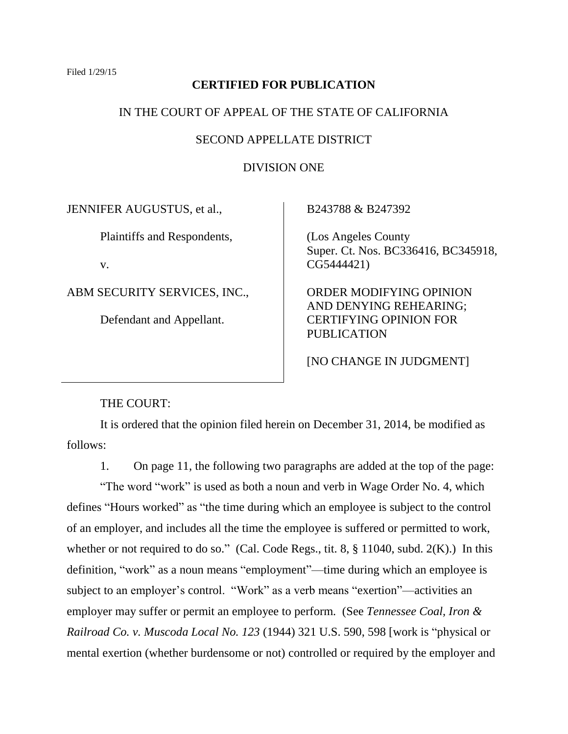# **CERTIFIED FOR PUBLICATION**

## IN THE COURT OF APPEAL OF THE STATE OF CALIFORNIA

## SECOND APPELLATE DISTRICT

## DIVISION ONE

JENNIFER AUGUSTUS, et al.,

Plaintiffs and Respondents,

v.

ABM SECURITY SERVICES, INC.,

Defendant and Appellant.

B243788 & B247392

 (Los Angeles County Super. Ct. Nos. BC336416, BC345918, CG5444421)

 ORDER MODIFYING OPINION AND DENYING REHEARING; CERTIFYING OPINION FOR PUBLICATION

[NO CHANGE IN JUDGMENT]

THE COURT:

It is ordered that the opinion filed herein on December 31, 2014, be modified as follows:

1. On page 11, the following two paragraphs are added at the top of the page:

"The word "work" is used as both a noun and verb in Wage Order No. 4, which defines "Hours worked" as "the time during which an employee is subject to the control of an employer, and includes all the time the employee is suffered or permitted to work, whether or not required to do so." (Cal. Code Regs., tit. 8, § 11040, subd. 2(K).) In this definition, "work" as a noun means "employment"—time during which an employee is subject to an employer's control. "Work" as a verb means "exertion"—activities an employer may suffer or permit an employee to perform. (See *Tennessee Coal, Iron & Railroad Co. v. Muscoda Local No. 123* (1944) 321 U.S. 590, 598 [work is "physical or mental exertion (whether burdensome or not) controlled or required by the employer and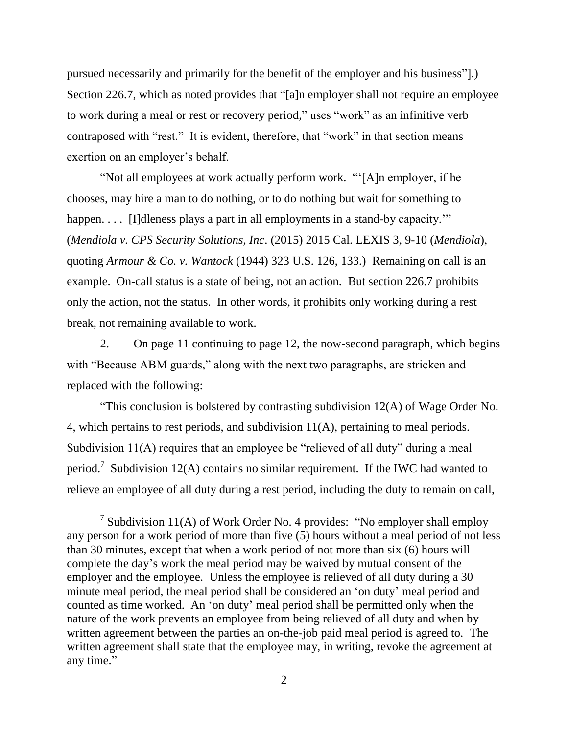pursued necessarily and primarily for the benefit of the employer and his business"].) Section 226.7, which as noted provides that "[a]n employer shall not require an employee to work during a meal or rest or recovery period," uses "work" as an infinitive verb contraposed with "rest." It is evident, therefore, that "work" in that section means exertion on an employer's behalf.

"Not all employees at work actually perform work. "'[A]n employer, if he chooses, may hire a man to do nothing, or to do nothing but wait for something to happen. . . . [I]dleness plays a part in all employments in a stand-by capacity." (*Mendiola v. CPS Security Solutions, Inc*. (2015) 2015 Cal. LEXIS 3, 9-10 (*Mendiola*), quoting *Armour & Co. v. Wantock* (1944) 323 U.S. 126, 133.) Remaining on call is an example. On-call status is a state of being, not an action. But section 226.7 prohibits only the action, not the status. In other words, it prohibits only working during a rest break, not remaining available to work.

2. On page 11 continuing to page 12, the now-second paragraph, which begins with "Because ABM guards," along with the next two paragraphs, are stricken and replaced with the following:

"This conclusion is bolstered by contrasting subdivision 12(A) of Wage Order No. 4, which pertains to rest periods, and subdivision 11(A), pertaining to meal periods. Subdivision 11(A) requires that an employee be "relieved of all duty" during a meal period.<sup>7</sup> Subdivision 12(A) contains no similar requirement. If the IWC had wanted to relieve an employee of all duty during a rest period, including the duty to remain on call,

 $\overline{a}$ 

<sup>&</sup>lt;sup>7</sup> Subdivision 11(A) of Work Order No. 4 provides: "No employer shall employ any person for a work period of more than five (5) hours without a meal period of not less than 30 minutes, except that when a work period of not more than six (6) hours will complete the day's work the meal period may be waived by mutual consent of the employer and the employee. Unless the employee is relieved of all duty during a 30 minute meal period, the meal period shall be considered an 'on duty' meal period and counted as time worked. An 'on duty' meal period shall be permitted only when the nature of the work prevents an employee from being relieved of all duty and when by written agreement between the parties an on-the-job paid meal period is agreed to. The written agreement shall state that the employee may, in writing, revoke the agreement at any time."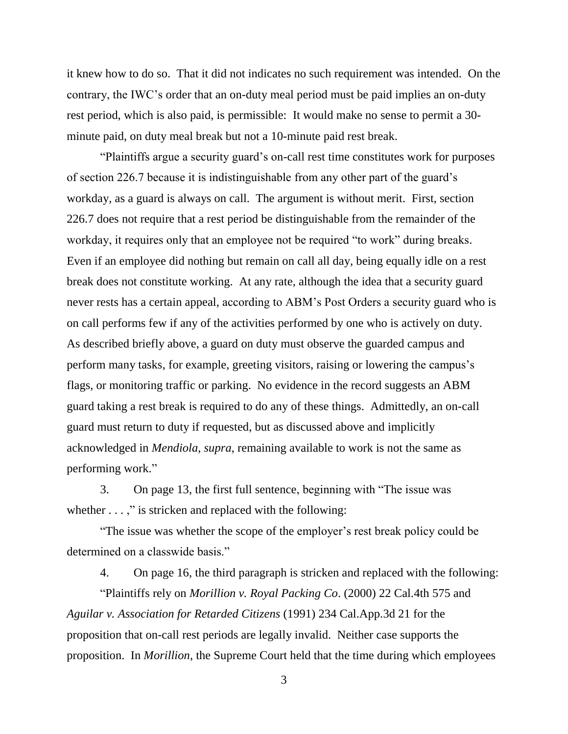it knew how to do so. That it did not indicates no such requirement was intended. On the contrary, the IWC's order that an on-duty meal period must be paid implies an on-duty rest period, which is also paid, is permissible: It would make no sense to permit a 30 minute paid, on duty meal break but not a 10-minute paid rest break.

"Plaintiffs argue a security guard's on-call rest time constitutes work for purposes of section 226.7 because it is indistinguishable from any other part of the guard's workday, as a guard is always on call. The argument is without merit. First, section 226.7 does not require that a rest period be distinguishable from the remainder of the workday, it requires only that an employee not be required "to work" during breaks. Even if an employee did nothing but remain on call all day, being equally idle on a rest break does not constitute working. At any rate, although the idea that a security guard never rests has a certain appeal, according to ABM's Post Orders a security guard who is on call performs few if any of the activities performed by one who is actively on duty. As described briefly above, a guard on duty must observe the guarded campus and perform many tasks, for example, greeting visitors, raising or lowering the campus's flags, or monitoring traffic or parking. No evidence in the record suggests an ABM guard taking a rest break is required to do any of these things. Admittedly, an on-call guard must return to duty if requested, but as discussed above and implicitly acknowledged in *Mendiola*, *supra*, remaining available to work is not the same as performing work."

3. On page 13, the first full sentence, beginning with "The issue was whether  $\dots$ ," is stricken and replaced with the following:

"The issue was whether the scope of the employer's rest break policy could be determined on a classwide basis."

4. On page 16, the third paragraph is stricken and replaced with the following:

"Plaintiffs rely on *Morillion v. Royal Packing Co*. (2000) 22 Cal.4th 575 and *Aguilar v. Association for Retarded Citizens* (1991) 234 Cal.App.3d 21 for the proposition that on-call rest periods are legally invalid. Neither case supports the proposition. In *Morillion*, the Supreme Court held that the time during which employees